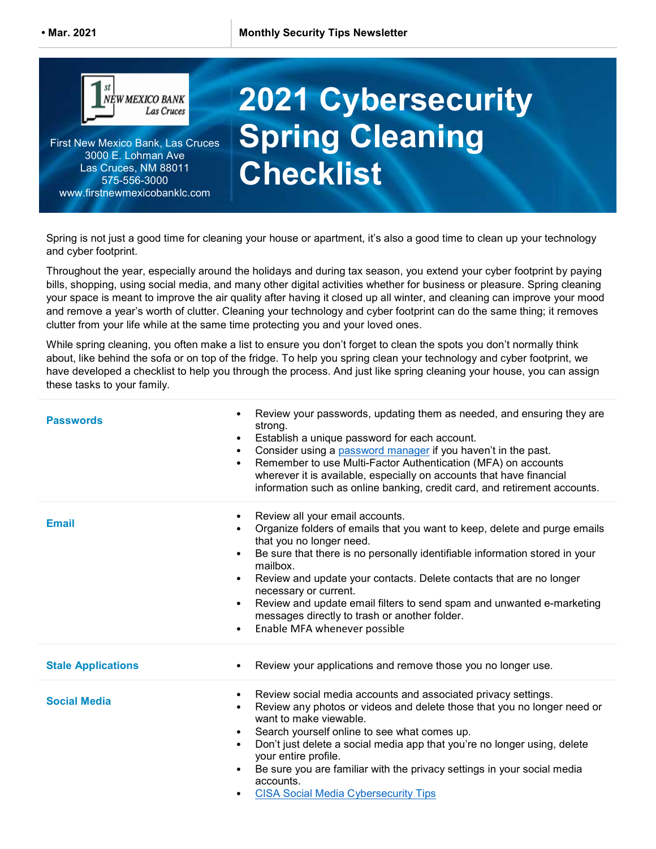

First New Mexico Bank, Las Cruces 3000 E. Lohman Ave Las Cruces, NM 88011 575-556-3000 www.firstnewmexicobanklc.com

## 2021 Cybersecurity Spring Cleaning **Checklist**

Spring is not just a good time for cleaning your house or apartment, it's also a good time to clean up your technology and cyber footprint.

Throughout the year, especially around the holidays and during tax season, you extend your cyber footprint by paying bills, shopping, using social media, and many other digital activities whether for business or pleasure. Spring cleaning your space is meant to improve the air quality after having it closed up all winter, and cleaning can improve your mood and remove a year's worth of clutter. Cleaning your technology and cyber footprint can do the same thing; it removes clutter from your life while at the same time protecting you and your loved ones.

While spring cleaning, you often make a list to ensure you don't forget to clean the spots you don't normally think about, like behind the sofa or on top of the fridge. To help you spring clean your technology and cyber footprint, we have developed a checklist to help you through the process. And just like spring cleaning your house, you can assign these tasks to your family.

| <b>Passwords</b>          | Review your passwords, updating them as needed, and ensuring they are<br>$\bullet$<br>strong.<br>Establish a unique password for each account.<br>$\bullet$<br>Consider using a password manager if you haven't in the past.<br>$\bullet$<br>Remember to use Multi-Factor Authentication (MFA) on accounts<br>$\bullet$<br>wherever it is available, especially on accounts that have financial<br>information such as online banking, credit card, and retirement accounts.                                                                                                |
|---------------------------|-----------------------------------------------------------------------------------------------------------------------------------------------------------------------------------------------------------------------------------------------------------------------------------------------------------------------------------------------------------------------------------------------------------------------------------------------------------------------------------------------------------------------------------------------------------------------------|
| <b>Email</b>              | Review all your email accounts.<br>$\bullet$<br>Organize folders of emails that you want to keep, delete and purge emails<br>$\bullet$<br>that you no longer need.<br>Be sure that there is no personally identifiable information stored in your<br>$\bullet$<br>mailbox.<br>Review and update your contacts. Delete contacts that are no longer<br>$\bullet$<br>necessary or current.<br>Review and update email filters to send spam and unwanted e-marketing<br>$\bullet$<br>messages directly to trash or another folder.<br>Enable MFA whenever possible<br>$\bullet$ |
| <b>Stale Applications</b> | Review your applications and remove those you no longer use.<br>$\bullet$                                                                                                                                                                                                                                                                                                                                                                                                                                                                                                   |
| <b>Social Media</b>       | Review social media accounts and associated privacy settings.<br>$\bullet$<br>Review any photos or videos and delete those that you no longer need or<br>$\bullet$<br>want to make viewable.<br>Search yourself online to see what comes up.<br>$\bullet$<br>Don't just delete a social media app that you're no longer using, delete<br>$\bullet$<br>your entire profile.<br>Be sure you are familiar with the privacy settings in your social media<br>accounts.<br><b>CISA Social Media Cybersecurity Tips</b>                                                           |